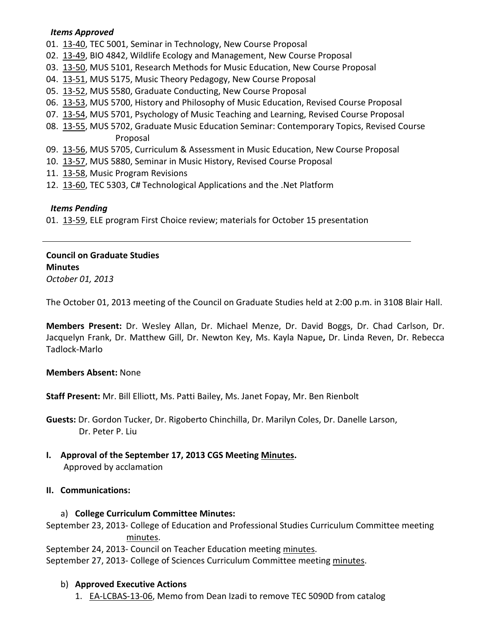#### *Items Approved*

- 01. [13-40,](http://castle.eiu.edu/~eiucgs/currentagendaitems/agenda13-40.pdf) TEC 5001, Seminar in Technology, New Course Proposal
- 02. [13-49,](http://castle.eiu.edu/~eiucgs/currentagendaitems/agenda13-49.pdf) BIO 4842, Wildlife Ecology and Management, New Course Proposal
- 03. [13-50,](http://castle.eiu.edu/~eiucgs/currentagendaitems/agenda13-50.pdf) MUS 5101, Research Methods for Music Education, New Course Proposal
- 04. [13-51,](http://castle.eiu.edu/~eiucgs/currentagendaitems/agenda13-51.pdf) MUS 5175, Music Theory Pedagogy, New Course Proposal
- 05. [13-52,](http://castle.eiu.edu/~eiucgs/currentagendaitems/agenda13-52.pdf) MUS 5580, Graduate Conducting, New Course Proposal
- 06. [13-53,](http://castle.eiu.edu/~eiucgs/currentagendaitems/agenda13-53.pdf) MUS 5700, History and Philosophy of Music Education, Revised Course Proposal
- 07. [13-54,](http://castle.eiu.edu/~eiucgs/currentagendaitems/agenda13-54.pdf) MUS 5701, Psychology of Music Teaching and Learning, Revised Course Proposal
- 08. [13-55,](http://castle.eiu.edu/~eiucgs/currentagendaitems/agenda13-55.pdf) MUS 5702, Graduate Music Education Seminar: Contemporary Topics, Revised Course Proposal
- 09. [13-56,](http://castle.eiu.edu/~eiucgs/currentagendaitems/agenda13-56.pdf) MUS 5705, Curriculum & Assessment in Music Education, New Course Proposal
- 10. [13-57,](http://castle.eiu.edu/~eiucgs/currentagendaitems/agenda13-57.pdf) MUS 5880, Seminar in Music History, Revised Course Proposal
- 11. [13-58,](http://castle.eiu.edu/~eiucgs/currentagendaitems/agenda13-58.pdf) Music Program Revisions
- 12. [13-60,](http://castle.eiu.edu/~eiucgs/currentagendaitems/agenda13-60.pdf) TEC 5303, C# Technological Applications and the .Net Platform

### *Items Pending*

01. [13-59,](http://castle.eiu.edu/~eiucgs/currentagendaitems/agenda13-59.pdf) ELE program First Choice review; materials for October 15 presentation

# **Council on Graduate Studies Minutes**

*October 01, 2013*

The October 01, 2013 meeting of the Council on Graduate Studies held at 2:00 p.m. in 3108 Blair Hall.

**Members Present:** Dr. Wesley Allan, Dr. Michael Menze, Dr. David Boggs, Dr. Chad Carlson, Dr. Jacquelyn Frank, Dr. Matthew Gill, Dr. Newton Key, Ms. Kayla Napue**,** Dr. Linda Reven, Dr. Rebecca Tadlock-Marlo

#### **Members Absent:** None

**Staff Present:** Mr. Bill Elliott, Ms. Patti Bailey, Ms. Janet Fopay, Mr. Ben Rienbolt

**Guests:** Dr. Gordon Tucker, Dr. Rigoberto Chinchilla, Dr. Marilyn Coles, Dr. Danelle Larson, Dr. Peter P. Liu

**I. Approval of the September 17, 2013 CGS Meeting [Minutes.](http://castle.eiu.edu/eiucgs/currentminutes/Minutes09-17-13.pdf)** Approved by acclamation

## **II. Communications:**

#### a) **College Curriculum Committee Minutes:**

September 23, 2013- College of Education and Professional Studies Curriculum Committee meeting [minutes.](http://castle.eiu.edu/~eiucgs/currentagendaitems/CEPSMin9-23-13.pdf)

September 24, 2013- Council on Teacher Education meeting [minutes.](http://castle.eiu.edu/~eiucgs/currentagendaitems/COTEMin9-24-13.pdf) September 27, 2013- College of Sciences Curriculum Committee meeting [minutes.](http://castle.eiu.edu/~eiucgs/currentagendaitems/COSMin9-27-13.pdf)

## b) **Approved Executive Actions**

1. [EA-LCBAS-13-06,](http://castle.eiu.edu/~eiucgs/exec-actions/EA-LCBAS-13-06.pdf) Memo from Dean Izadi to remove TEC 5090D from catalog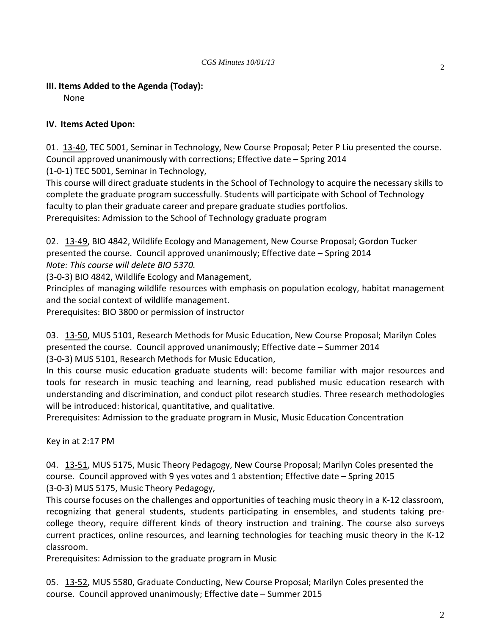## **III. Items Added to the Agenda (Today):**

None

#### **IV. Items Acted Upon:**

01. [13-40,](http://castle.eiu.edu/~eiucgs/currentagendaitems/agenda13-40.pdf) TEC 5001, Seminar in Technology, New Course Proposal; Peter P Liu presented the course. Council approved unanimously with corrections; Effective date – Spring 2014 (1-0-1) TEC 5001, Seminar in Technology,

This course will direct graduate students in the School of Technology to acquire the necessary skills to complete the graduate program successfully. Students will participate with School of Technology faculty to plan their graduate career and prepare graduate studies portfolios.

Prerequisites: Admission to the School of Technology graduate program

02. [13-49,](http://castle.eiu.edu/~eiucgs/currentagendaitems/agenda13-49.pdf) BIO 4842, Wildlife Ecology and Management, New Course Proposal; Gordon Tucker presented the course. Council approved unanimously; Effective date – Spring 2014 *Note: This course will delete BIO 5370.*

(3-0-3) BIO 4842, Wildlife Ecology and Management,

Principles of managing wildlife resources with emphasis on population ecology, habitat management and the social context of wildlife management.

Prerequisites: BIO 3800 or permission of instructor

03. [13-50,](http://castle.eiu.edu/~eiucgs/currentagendaitems/agenda13-50.pdf) MUS 5101, Research Methods for Music Education, New Course Proposal; Marilyn Coles presented the course. Council approved unanimously; Effective date – Summer 2014 (3-0-3) MUS 5101, Research Methods for Music Education,

In this course music education graduate students will: become familiar with major resources and tools for research in music teaching and learning, read published music education research with understanding and discrimination, and conduct pilot research studies. Three research methodologies will be introduced: historical, quantitative, and qualitative.

Prerequisites: Admission to the graduate program in Music, Music Education Concentration

Key in at 2:17 PM

04. [13-51,](http://castle.eiu.edu/~eiucgs/currentagendaitems/agenda13-51.pdf) MUS 5175, Music Theory Pedagogy, New Course Proposal; Marilyn Coles presented the course. Council approved with 9 yes votes and 1 abstention; Effective date – Spring 2015 (3-0-3) MUS 5175, Music Theory Pedagogy,

This course focuses on the challenges and opportunities of teaching music theory in a K-12 classroom, recognizing that general students, students participating in ensembles, and students taking precollege theory, require different kinds of theory instruction and training. The course also surveys current practices, online resources, and learning technologies for teaching music theory in the K-12 classroom.

Prerequisites: Admission to the graduate program in Music

05. [13-52,](http://castle.eiu.edu/~eiucgs/currentagendaitems/agenda13-52.pdf) MUS 5580, Graduate Conducting, New Course Proposal; Marilyn Coles presented the course. Council approved unanimously; Effective date – Summer 2015

2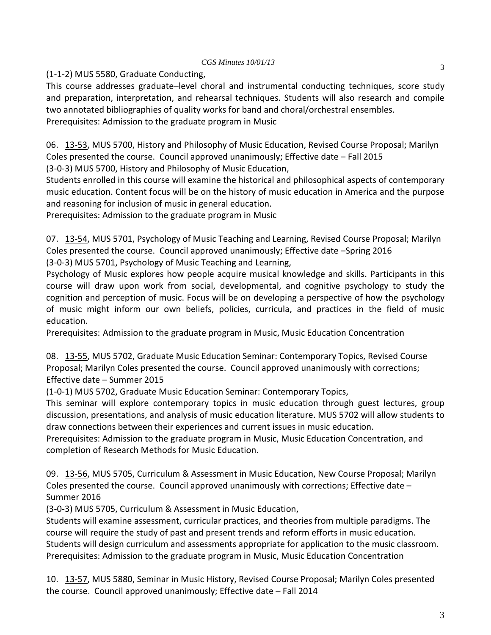(1-1-2) MUS 5580, Graduate Conducting,

This course addresses graduate–level choral and instrumental conducting techniques, score study and preparation, interpretation, and rehearsal techniques. Students will also research and compile two annotated bibliographies of quality works for band and choral/orchestral ensembles. Prerequisites: Admission to the graduate program in Music

06. [13-53,](http://castle.eiu.edu/~eiucgs/currentagendaitems/agenda13-53.pdf) MUS 5700, History and Philosophy of Music Education, Revised Course Proposal; Marilyn Coles presented the course. Council approved unanimously; Effective date – Fall 2015 (3-0-3) MUS 5700, History and Philosophy of Music Education,

Students enrolled in this course will examine the historical and philosophical aspects of contemporary music education. Content focus will be on the history of music education in America and the purpose and reasoning for inclusion of music in general education.

Prerequisites: Admission to the graduate program in Music

07. [13-54,](http://castle.eiu.edu/~eiucgs/currentagendaitems/agenda13-54.pdf) MUS 5701, Psychology of Music Teaching and Learning, Revised Course Proposal; Marilyn Coles presented the course. Council approved unanimously; Effective date –Spring 2016 (3-0-3) MUS 5701, Psychology of Music Teaching and Learning,

Psychology of Music explores how people acquire musical knowledge and skills. Participants in this course will draw upon work from social, developmental, and cognitive psychology to study the cognition and perception of music. Focus will be on developing a perspective of how the psychology of music might inform our own beliefs, policies, curricula, and practices in the field of music education.

Prerequisites: Admission to the graduate program in Music, Music Education Concentration

08. [13-55,](http://castle.eiu.edu/~eiucgs/currentagendaitems/agenda13-55.pdf) MUS 5702, Graduate Music Education Seminar: Contemporary Topics, Revised Course Proposal; Marilyn Coles presented the course. Council approved unanimously with corrections; Effective date – Summer 2015

(1-0-1) MUS 5702, Graduate Music Education Seminar: Contemporary Topics,

This seminar will explore contemporary topics in music education through guest lectures, group discussion, presentations, and analysis of music education literature. MUS 5702 will allow students to draw connections between their experiences and current issues in music education.

Prerequisites: Admission to the graduate program in Music, Music Education Concentration, and completion of Research Methods for Music Education.

09. [13-56,](http://castle.eiu.edu/~eiucgs/currentagendaitems/agenda13-56.pdf) MUS 5705, Curriculum & Assessment in Music Education, New Course Proposal; Marilyn Coles presented the course. Council approved unanimously with corrections; Effective date – Summer 2016

(3-0-3) MUS 5705, Curriculum & Assessment in Music Education,

Students will examine assessment, curricular practices, and theories from multiple paradigms. The course will require the study of past and present trends and reform efforts in music education. Students will design curriculum and assessments appropriate for application to the music classroom. Prerequisites: Admission to the graduate program in Music, Music Education Concentration

10. [13-57,](http://castle.eiu.edu/~eiucgs/currentagendaitems/agenda13-57.pdf) MUS 5880, Seminar in Music History, Revised Course Proposal; Marilyn Coles presented the course. Council approved unanimously; Effective date – Fall 2014

3